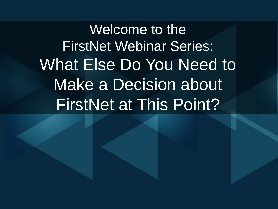Welcome to the FirstNet Webinar Series: What Else Do You Need to Make a Decision about FirstNet at This Point?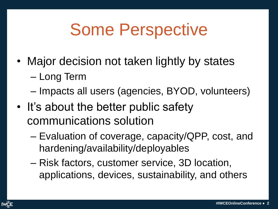## Some Perspective

- Major decision not taken lightly by states
	- Long Term
	- Impacts all users (agencies, BYOD, volunteers)
- It's about the better public safety communications solution
	- Evaluation of coverage, capacity/QPP, cost, and hardening/availability/deployables
	- Risk factors, customer service, 3D location, applications, devices, sustainability, and others

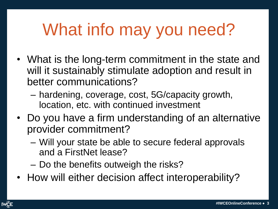## What info may you need?

- What is the long-term commitment in the state and will it sustainably stimulate adoption and result in better communications?
	- hardening, coverage, cost, 5G/capacity growth, location, etc. with continued investment
- Do you have a firm understanding of an alternative provider commitment?
	- Will your state be able to secure federal approvals and a FirstNet lease?
	- Do the benefits outweigh the risks?
- How will either decision affect interoperability?